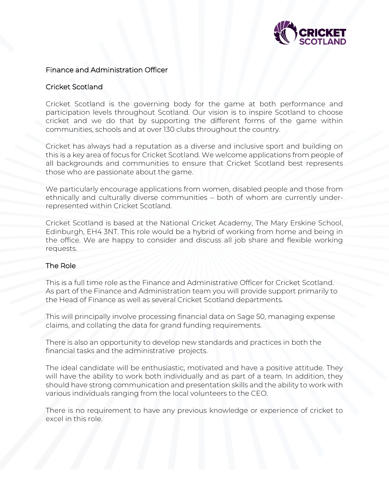

#### Finance and Administration Officer

#### Cricket Scotland

Cricket Scotland is the governing body for the game at both performance and participation levels throughout Scotland. Our vision is to inspire Scotland to choose cricket and we do that by supporting the different forms of the game within communities, schools and at over 130 clubs throughout the country.

Cricket has always had a reputation as a diverse and inclusive sport and building on this is a key area of focus for Cricket Scotland. We welcome applications from people of all backgrounds and communities to ensure that Cricket Scotland best represents those who are passionate about the game.

We particularly encourage applications from women, disabled people and those from ethnically and culturally diverse communities – both of whom are currently underrepresented within Cricket Scotland.

Cricket Scotland is based at the National Cricket Academy, The Mary Erskine School, Edinburgh, EH4 3NT. This role would be a hybrid of working from home and being in the office. We are happy to consider and discuss all job share and flexible working requests.

#### The Role

This is a full time role as the Finance and Administrative Officer for Cricket Scotland. As part of the Finance and Administration team you will provide support primarily to the Head of Finance as well as several Cricket Scotland departments.

This will principally involve processing financial data on Sage 50, managing expense claims, and collating the data for grand funding requirements.

There is also an opportunity to develop new standards and practices in both the financial tasks and the administrative projects.

The ideal candidate will be enthusiastic, motivated and have a positive attitude. They will have the ability to work both individually and as part of a team. In addition, they should have strong communication and presentation skills and the ability to work with various individuals ranging from the local volunteers to the CEO.

There is no requirement to have any previous knowledge or experience of cricket to excel in this role.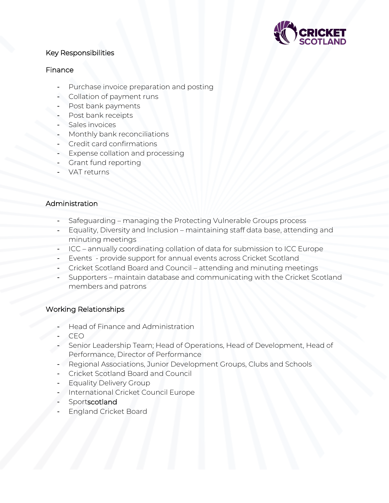

## Key Responsibilities

### **Finance**

- Purchase invoice preparation and posting
- Collation of payment runs
- Post bank payments
- Post bank receipts
- Sales invoices
- Monthly bank reconciliations
- Credit card confirmations
- Expense collation and processing
- Grant fund reporting
- VAT returns

## Administration

- Safeguarding managing the Protecting Vulnerable Groups process
- Equality, Diversity and Inclusion maintaining staff data base, attending and minuting meetings
- ICC annually coordinating collation of data for submission to ICC Europe
- Events provide support for annual events across Cricket Scotland
- Cricket Scotland Board and Council attending and minuting meetings
- Supporters maintain database and communicating with the Cricket Scotland members and patrons

# Working Relationships

- Head of Finance and Administration
- CEO
- Senior Leadership Team; Head of Operations, Head of Development, Head of Performance, Director of Performance
- Regional Associations, Junior Development Groups, Clubs and Schools
- Cricket Scotland Board and Council
- Equality Delivery Group
- International Cricket Council Europe
- **Sportscotland**
- England Cricket Board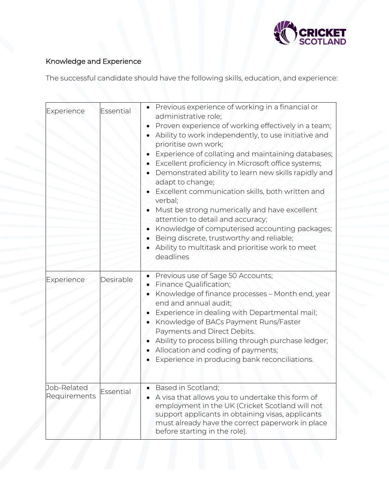

# Knowledge and Experience

The successful candidate should have the following skills, education, and experience:

| Experience                  | Essential | Previous experience of working in a financial or<br>administrative role;<br>Proven experience of working effectively in a team;<br>Ability to work independently, to use initiative and<br>prioritise own work;<br>Experience of collating and maintaining databases;<br>Excellent proficiency in Microsoft office systems;<br>Demonstrated ability to learn new skills rapidly and<br>adapt to change;<br>Excellent communication skills, both written and<br>verbal;<br>Must be strong numerically and have excellent<br>attention to detail and accuracy;<br>Knowledge of computerised accounting packages;<br>Being discrete, trustworthy and reliable;<br>Ability to multitask and prioritise work to meet<br>deadlines |
|-----------------------------|-----------|------------------------------------------------------------------------------------------------------------------------------------------------------------------------------------------------------------------------------------------------------------------------------------------------------------------------------------------------------------------------------------------------------------------------------------------------------------------------------------------------------------------------------------------------------------------------------------------------------------------------------------------------------------------------------------------------------------------------------|
| Experience                  | Desirable | Previous use of Sage 50 Accounts;<br>Finance Qualification;<br>Knowledge of finance processes - Month end, year<br>end and annual audit;<br>Experience in dealing with Departmental mail;<br>Knowledge of BACs Payment Runs/Faster<br>Payments and Direct Debits.<br>Ability to process billing through purchase ledger;<br>Allocation and coding of payments;<br>Experience in producing bank reconciliations.                                                                                                                                                                                                                                                                                                              |
| Job-Related<br>Requirements | Essential | Based in Scotland;<br>A visa that allows you to undertake this form of<br>employment in the UK (Cricket Scotland will not<br>support applicants in obtaining visas, applicants<br>must already have the correct paperwork in place<br>before starting in the role).                                                                                                                                                                                                                                                                                                                                                                                                                                                          |